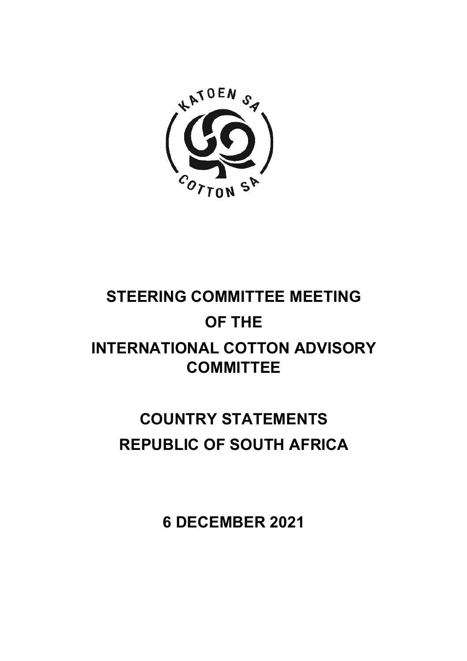

# **STEERING COMMITTEE MEETING OF THE INTERNATIONAL COTTON ADVISORY COMMITTEE**

# **COUNTRY STATEMENTS REPUBLIC OF SOUTH AFRICA**

**6 DECEMBER 2021**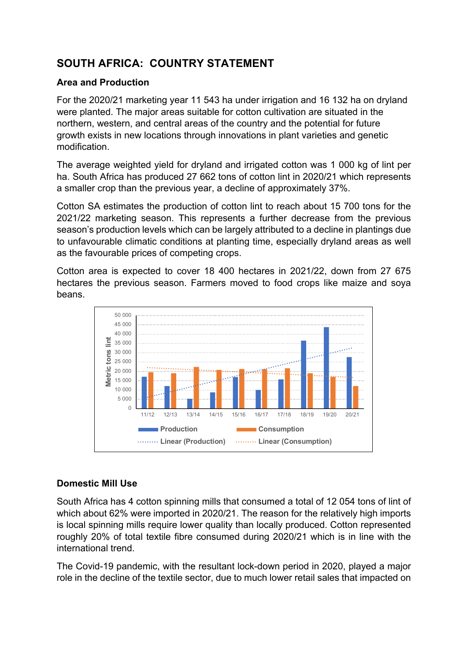# **SOUTH AFRICA: COUNTRY STATEMENT**

### **Area and Production**

For the 2020/21 marketing year 11 543 ha under irrigation and 16 132 ha on dryland were planted. The major areas suitable for cotton cultivation are situated in the northern, western, and central areas of the country and the potential for future growth exists in new locations through innovations in plant varieties and genetic modification.

The average weighted yield for dryland and irrigated cotton was 1 000 kg of lint per ha. South Africa has produced 27 662 tons of cotton lint in 2020/21 which represents a smaller crop than the previous year, a decline of approximately 37%.

Cotton SA estimates the production of cotton lint to reach about 15 700 tons for the 2021/22 marketing season. This represents a further decrease from the previous season's production levels which can be largely attributed to a decline in plantings due to unfavourable climatic conditions at planting time, especially dryland areas as well as the favourable prices of competing crops.

Cotton area is expected to cover 18 400 hectares in 2021/22, down from 27 675 hectares the previous season. Farmers moved to food crops like maize and soya beans.



## **Domestic Mill Use**

South Africa has 4 cotton spinning mills that consumed a total of 12 054 tons of lint of which about 62% were imported in 2020/21. The reason for the relatively high imports is local spinning mills require lower quality than locally produced. Cotton represented roughly 20% of total textile fibre consumed during 2020/21 which is in line with the international trend.

The Covid-19 pandemic, with the resultant lock-down period in 2020, played a major role in the decline of the textile sector, due to much lower retail sales that impacted on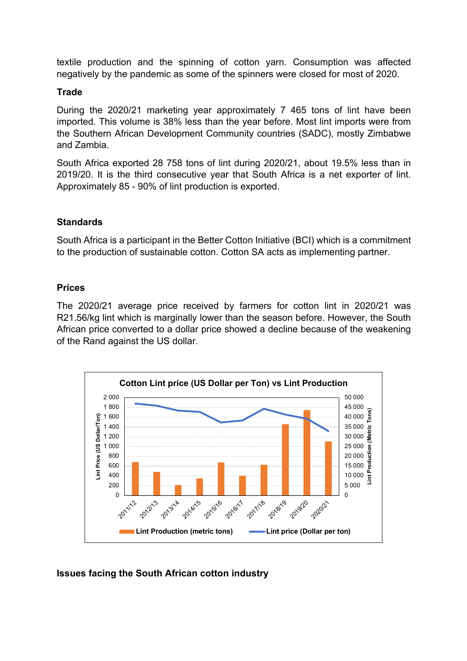textile production and the spinning of cotton yarn. Consumption was affected negatively by the pandemic as some of the spinners were closed for most of 2020.

#### **Trade**

During the 2020/21 marketing year approximately 7 465 tons of lint have been imported. This volume is 38% less than the year before. Most lint imports were from the Southern African Development Community countries (SADC), mostly Zimbabwe and Zambia.

South Africa exported 28 758 tons of lint during 2020/21, about 19.5% less than in 2019/20. It is the third consecutive year that South Africa is a net exporter of lint. Approximately 85 - 90% of lint production is exported.

#### **Standards**

South Africa is a participant in the Better Cotton Initiative (BCI) which is a commitment to the production of sustainable cotton. Cotton SA acts as implementing partner.

#### **Prices**

The 2020/21 average price received by farmers for cotton lint in 2020/21 was R21.56/kg lint which is marginally lower than the season before. However, the South African price converted to a dollar price showed a decline because of the weakening of the Rand against the US dollar.



#### **Issues facing the South African cotton industry**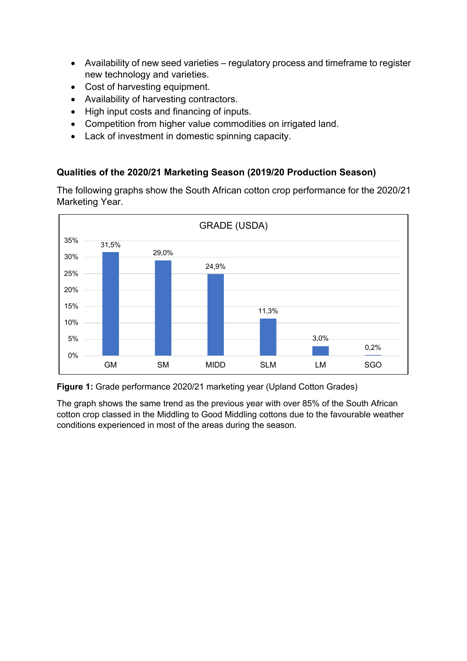- Availability of new seed varieties regulatory process and timeframe to register new technology and varieties.
- Cost of harvesting equipment.
- Availability of harvesting contractors.
- High input costs and financing of inputs.
- Competition from higher value commodities on irrigated land.
- Lack of investment in domestic spinning capacity.

### **Qualities of the 2020/21 Marketing Season (2019/20 Production Season)**

The following graphs show the South African cotton crop performance for the 2020/21 Marketing Year.





The graph shows the same trend as the previous year with over 85% of the South African cotton crop classed in the Middling to Good Middling cottons due to the favourable weather conditions experienced in most of the areas during the season.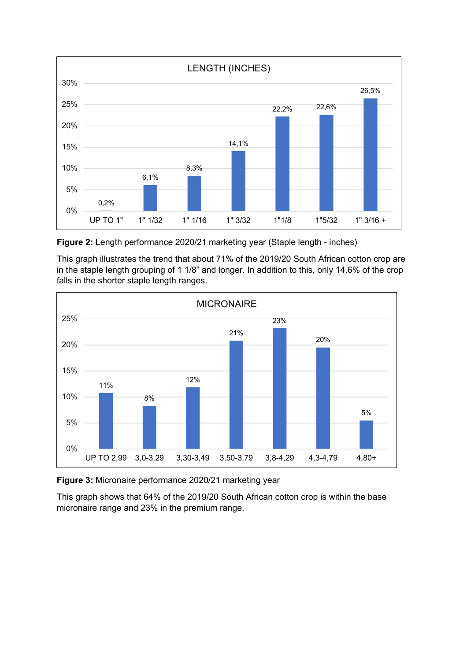

**Figure 2:** Length performance 2020/21 marketing year (Staple length - inches)

This graph illustrates the trend that about 71% of the 2019/20 South African cotton crop are in the staple length grouping of 1 1/8" and longer. In addition to this, only 14.6% of the crop falls in the shorter staple length ranges.



**Figure 3:** Micronaire performance 2020/21 marketing year

This graph shows that 64% of the 2019/20 South African cotton crop is within the base micronaire range and 23% in the premium range.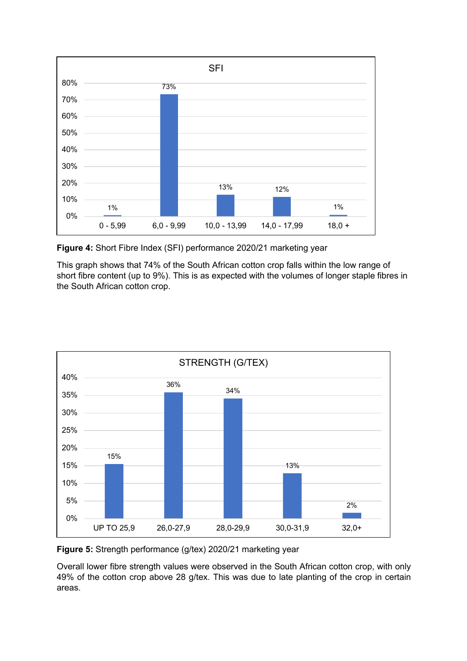

**Figure 4:** Short Fibre Index (SFI) performance 2020/21 marketing year

This graph shows that 74% of the South African cotton crop falls within the low range of short fibre content (up to 9%). This is as expected with the volumes of longer staple fibres in the South African cotton crop.



**Figure 5:** Strength performance (g/tex) 2020/21 marketing year

Overall lower fibre strength values were observed in the South African cotton crop, with only 49% of the cotton crop above 28 g/tex. This was due to late planting of the crop in certain areas.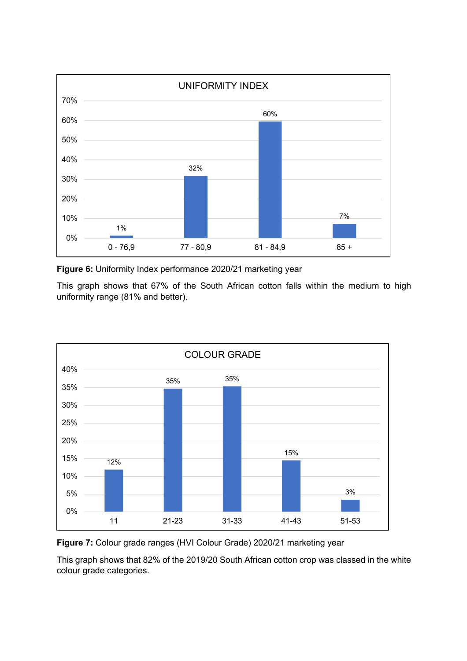

**Figure 6:** Uniformity Index performance 2020/21 marketing year

This graph shows that 67% of the South African cotton falls within the medium to high uniformity range (81% and better).





This graph shows that 82% of the 2019/20 South African cotton crop was classed in the white colour grade categories.